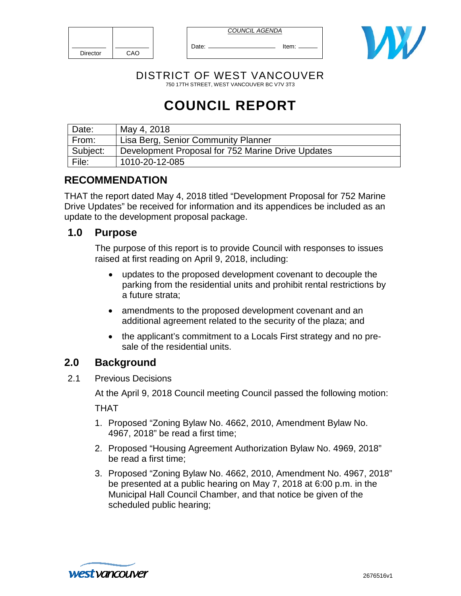| <b>Director</b> | CAO |
|-----------------|-----|

*COUNCIL AGENDA*

Date: Item: Item:



DISTRICT OF WEST VANCOUVER 750 17TH STREET, WEST VANCOUVER BC V7V 3T3

# **COUNCIL REPORT**

| Date:    | May 4, 2018                                       |
|----------|---------------------------------------------------|
| From:    | Lisa Berg, Senior Community Planner               |
| Subject: | Development Proposal for 752 Marine Drive Updates |
| File:    | 1010-20-12-085                                    |

# **RECOMMENDATION**

THAT the report dated May 4, 2018 titled "Development Proposal for 752 Marine Drive Updates" be received for information and its appendices be included as an update to the development proposal package.

## **1.0 Purpose**

The purpose of this report is to provide Council with responses to issues raised at first reading on April 9, 2018, including:

- updates to the proposed development covenant to decouple the parking from the residential units and prohibit rental restrictions by a future strata;
- amendments to the proposed development covenant and an additional agreement related to the security of the plaza; and
- the applicant's commitment to a Locals First strategy and no presale of the residential units.

# **2.0 Background**

2.1 Previous Decisions

At the April 9, 2018 Council meeting Council passed the following motion:

THAT

- 1. Proposed "Zoning Bylaw No. 4662, 2010, Amendment Bylaw No. 4967, 2018" be read a first time;
- 2. Proposed "Housing Agreement Authorization Bylaw No. 4969, 2018" be read a first time;
- 3. Proposed "Zoning Bylaw No. 4662, 2010, Amendment No. 4967, 2018" be presented at a public hearing on May 7, 2018 at 6:00 p.m. in the Municipal Hall Council Chamber, and that notice be given of the scheduled public hearing;

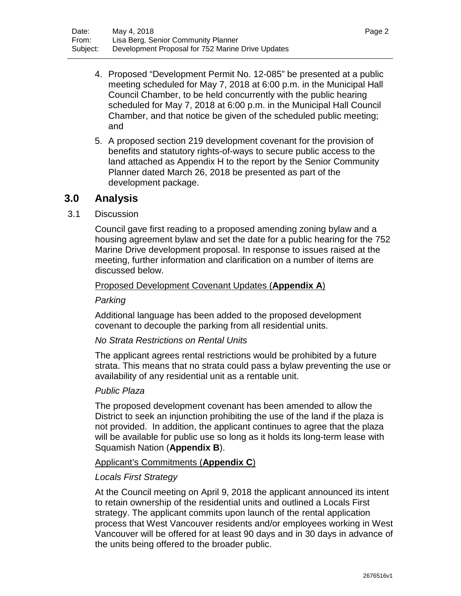- 4. Proposed "Development Permit No. 12-085" be presented at a public meeting scheduled for May 7, 2018 at 6:00 p.m. in the Municipal Hall Council Chamber, to be held concurrently with the public hearing scheduled for May 7, 2018 at 6:00 p.m. in the Municipal Hall Council Chamber, and that notice be given of the scheduled public meeting; and
- 5. A proposed section 219 development covenant for the provision of benefits and statutory rights-of-ways to secure public access to the land attached as Appendix H to the report by the Senior Community Planner dated March 26, 2018 be presented as part of the development package.

## **3.0 Analysis**

3.1 Discussion

Council gave first reading to a proposed amending zoning bylaw and a housing agreement bylaw and set the date for a public hearing for the 752 Marine Drive development proposal. In response to issues raised at the meeting, further information and clarification on a number of items are discussed below.

#### Proposed Development Covenant Updates (**Appendix A**)

#### *Parking*

Additional language has been added to the proposed development covenant to decouple the parking from all residential units.

#### *No Strata Restrictions on Rental Units*

The applicant agrees rental restrictions would be prohibited by a future strata. This means that no strata could pass a bylaw preventing the use or availability of any residential unit as a rentable unit.

#### *Public Plaza*

The proposed development covenant has been amended to allow the District to seek an injunction prohibiting the use of the land if the plaza is not provided. In addition, the applicant continues to agree that the plaza will be available for public use so long as it holds its long-term lease with Squamish Nation (**Appendix B**).

#### Applicant's Commitments (**Appendix C**)

#### *Locals First Strategy*

At the Council meeting on April 9, 2018 the applicant announced its intent to retain ownership of the residential units and outlined a Locals First strategy. The applicant commits upon launch of the rental application process that West Vancouver residents and/or employees working in West Vancouver will be offered for at least 90 days and in 30 days in advance of the units being offered to the broader public.